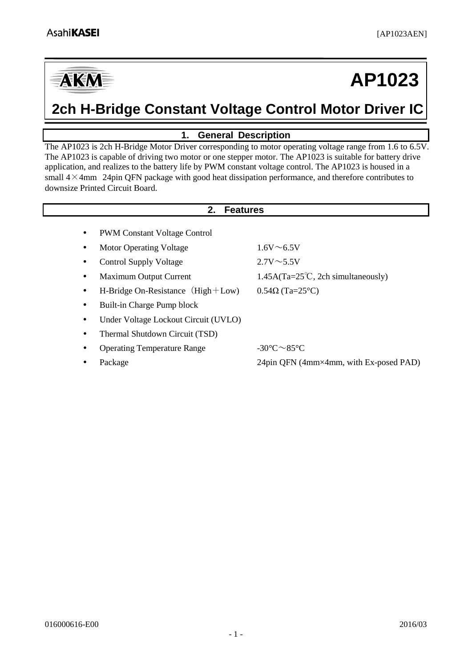

# **AP1023**

# **2ch H-Bridge Constant Voltage Control Motor Driver IC**

# **1. General Description**

<span id="page-0-0"></span>The AP1023 is 2ch H-Bridge Motor Driver corresponding to motor operating voltage range from 1.6 to 6.5V. The AP1023 is capable of driving two motor or one stepper motor. The AP1023 is suitable for battery drive application, and realizes to the battery life by PWM constant voltage control. The AP1023 is housed in a small  $4\times4$ mm 24pin QFN package with good heat dissipation performance, and therefore contributes to downsize Printed Circuit Board.

<span id="page-0-1"></span>

|           | <b>Features</b><br>2.                 |                                             |  |  |  |  |  |  |
|-----------|---------------------------------------|---------------------------------------------|--|--|--|--|--|--|
|           | <b>PWM Constant Voltage Control</b>   |                                             |  |  |  |  |  |  |
|           | <b>Motor Operating Voltage</b>        | $1.6V \sim 6.5V$                            |  |  |  |  |  |  |
| ٠         | <b>Control Supply Voltage</b>         | $2.7V \sim 5.5V$                            |  |  |  |  |  |  |
|           | Maximum Output Current                | $1.45A(Ta=25^{\circ}C, 2ch$ simultaneously) |  |  |  |  |  |  |
| $\bullet$ | H-Bridge On-Resistance $(High + Low)$ | $0.54\Omega$ (Ta=25°C)                      |  |  |  |  |  |  |
| ٠         | Built-in Charge Pump block            |                                             |  |  |  |  |  |  |
| ٠         | Under Voltage Lockout Circuit (UVLO)  |                                             |  |  |  |  |  |  |
|           | Thermal Shutdown Circuit (TSD)        |                                             |  |  |  |  |  |  |
|           | <b>Operating Temperature Range</b>    | $-30^{\circ}$ C $\sim$ 85 $^{\circ}$ C      |  |  |  |  |  |  |
|           | Package                               | 24pin QFN (4mm×4mm, with Ex-posed PAD)      |  |  |  |  |  |  |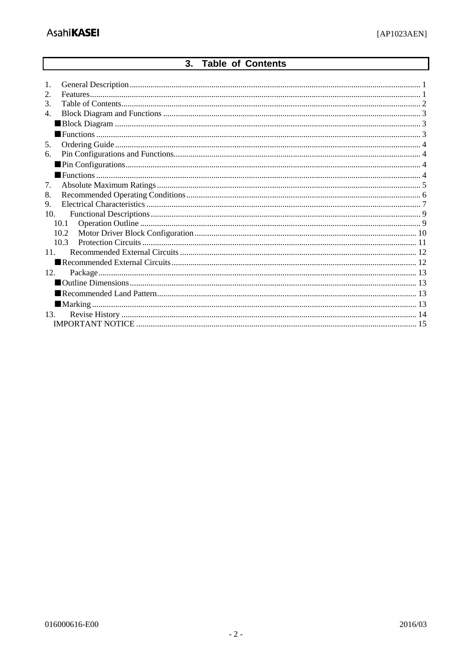# 3. Table of Contents

<span id="page-1-0"></span>

| 1.<br>2.<br>3. |  |  |  |  |  |
|----------------|--|--|--|--|--|
| 4.             |  |  |  |  |  |
|                |  |  |  |  |  |
|                |  |  |  |  |  |
| 5.             |  |  |  |  |  |
| 6.             |  |  |  |  |  |
|                |  |  |  |  |  |
|                |  |  |  |  |  |
| 7.             |  |  |  |  |  |
| 8.             |  |  |  |  |  |
| 9.             |  |  |  |  |  |
| 10.            |  |  |  |  |  |
| 10.1           |  |  |  |  |  |
| 10.2           |  |  |  |  |  |
| 10.3           |  |  |  |  |  |
| 11             |  |  |  |  |  |
|                |  |  |  |  |  |
| 12.            |  |  |  |  |  |
|                |  |  |  |  |  |
|                |  |  |  |  |  |
|                |  |  |  |  |  |
| 13.            |  |  |  |  |  |
|                |  |  |  |  |  |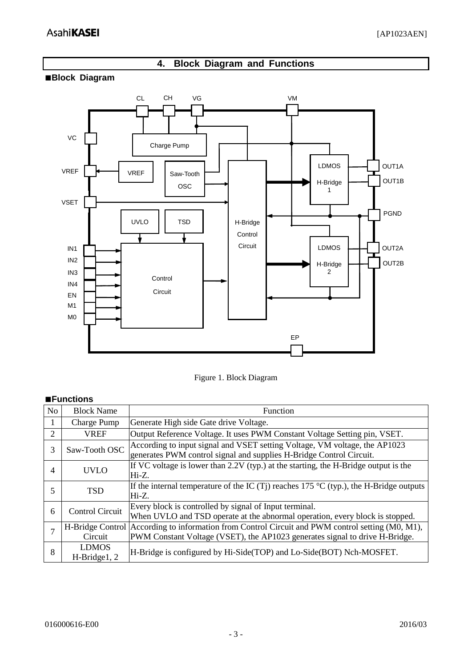# **4. Block Diagram and Functions**

### <span id="page-2-1"></span><span id="page-2-0"></span>**■Block Diagram**



Figure 1. Block Diagram

#### <span id="page-2-2"></span>**■Functions**

<span id="page-2-3"></span>

| N <sub>o</sub> | <b>Block Name</b>            | Function                                                                                                                                                       |
|----------------|------------------------------|----------------------------------------------------------------------------------------------------------------------------------------------------------------|
|                | <b>Charge Pump</b>           | Generate High side Gate drive Voltage.                                                                                                                         |
| $\overline{2}$ | <b>VREF</b>                  | Output Reference Voltage. It uses PWM Constant Voltage Setting pin, VSET.                                                                                      |
| 3              | Saw-Tooth OSC                | According to input signal and VSET setting Voltage, VM voltage, the AP1023<br>generates PWM control signal and supplies H-Bridge Control Circuit.              |
| 4              | <b>UVLO</b>                  | If VC voltage is lower than 2.2V (typ.) at the starting, the H-Bridge output is the<br>$Hi-Z.$                                                                 |
| 5              | <b>TSD</b>                   | If the internal temperature of the IC (Tj) reaches 175 °C (typ.), the H-Bridge outputs<br>Hi-Z.                                                                |
| 6              | <b>Control Circuit</b>       | Every block is controlled by signal of Input terminal.<br>When UVLO and TSD operate at the abnormal operation, every block is stopped.                         |
|                | H-Bridge Control<br>Circuit  | According to information from Control Circuit and PWM control setting (M0, M1),<br>PWM Constant Voltage (VSET), the AP1023 generates signal to drive H-Bridge. |
| 8              | <b>LDMOS</b><br>H-Bridge1, 2 | H-Bridge is configured by Hi-Side(TOP) and Lo-Side(BOT) Nch-MOSFET.                                                                                            |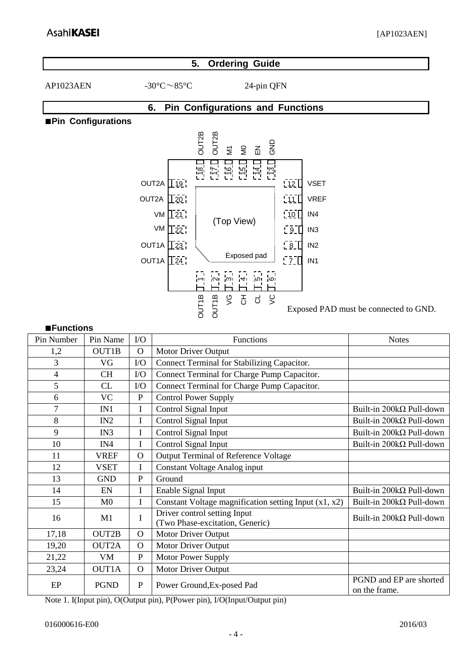### **5. Ordering Guide**

AP1023AEN  $-30^{\circ}$ C $\sim$ 85°C 24-pin QFN

# **6. Pin Configurations and Functions**

#### <span id="page-3-1"></span><span id="page-3-0"></span>**■Pin Configurations**



Exposed PAD must be connected to GND.

#### <span id="page-3-2"></span>**■Functions**

| Pin Number | Pin Name       | $\rm LO$     | Functions                                                       | <b>Notes</b>                             |
|------------|----------------|--------------|-----------------------------------------------------------------|------------------------------------------|
| 1,2        | OUT1B          | $\Omega$     | Motor Driver Output                                             |                                          |
| 3          | VG             | $\rm LO$     | Connect Terminal for Stabilizing Capacitor.                     |                                          |
| 4          | <b>CH</b>      | $\rm LO$     | Connect Terminal for Charge Pump Capacitor.                     |                                          |
| 5          | <b>CL</b>      | $\rm LO$     | Connect Terminal for Charge Pump Capacitor.                     |                                          |
| 6          | <b>VC</b>      | $\mathbf{P}$ | <b>Control Power Supply</b>                                     |                                          |
| 7          | IN1            | I            | Control Signal Input                                            | Built-in 200kΩ Pull-down                 |
| 8          | IN2            | I            | Control Signal Input                                            | Built-in 200kΩ Pull-down                 |
| 9          | IN3            | I            | Control Signal Input                                            | Built-in 200kΩ Pull-down                 |
| 10         | IN4            | I            | Control Signal Input                                            | Built-in 200kΩ Pull-down                 |
| 11         | <b>VREF</b>    | $\mathbf{O}$ | <b>Output Terminal of Reference Voltage</b>                     |                                          |
| 12         | <b>VSET</b>    | I            | <b>Constant Voltage Analog input</b>                            |                                          |
| 13         | <b>GND</b>     | $\mathbf{P}$ | Ground                                                          |                                          |
| 14         | EN             | I            | Enable Signal Input                                             | Built-in $200k\Omega$ Pull-down          |
| 15         | M <sub>0</sub> | $\mathbf I$  | Constant Voltage magnification setting Input $(x1, x2)$         | Built-in 200kΩ Pull-down                 |
| 16         | M <sub>1</sub> | I            | Driver control setting Input<br>(Two Phase-excitation, Generic) | Built-in 200kΩ Pull-down                 |
| 17,18      | OUT2B          | $\mathbf{O}$ | Motor Driver Output                                             |                                          |
| 19,20      | OUT2A          | $\Omega$     | Motor Driver Output                                             |                                          |
| 21,22      | VM             | $\mathbf{P}$ | Motor Power Supply                                              |                                          |
| 23,24      | OUT1A          | $\mathbf{O}$ | Motor Driver Output                                             |                                          |
| $\rm EP$   | <b>PGND</b>    | $\mathbf{P}$ | Power Ground, Ex-posed Pad                                      | PGND and EP are shorted<br>on the frame. |

Note 1. I(Input pin), O(Output pin), P(Power pin), I/O(Input/Output pin)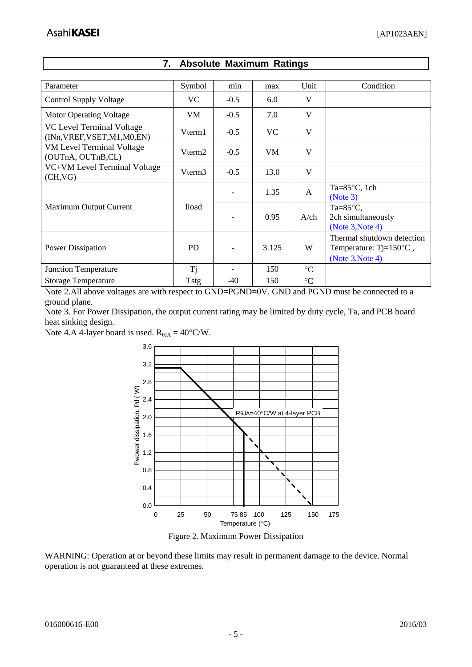<span id="page-4-0"></span>

| Parameter                                                  | Symbol             | min                      | max       | Unit            | Condition                                                                             |
|------------------------------------------------------------|--------------------|--------------------------|-----------|-----------------|---------------------------------------------------------------------------------------|
|                                                            |                    |                          |           |                 |                                                                                       |
| <b>Control Supply Voltage</b>                              | VC.                | $-0.5$                   | 6.0       | V               |                                                                                       |
| <b>Motor Operating Voltage</b>                             | VM                 | $-0.5$                   | 7.0       | V               |                                                                                       |
| VC Level Terminal Voltage<br>(INn, VREF, VSET, M1, M0, EN) | Vterm1             | $-0.5$                   | <b>VC</b> | V               |                                                                                       |
| <b>VM Level Terminal Voltage</b><br>(OUTnA, OUTnB,CL)      | Vterm <sub>2</sub> | $-0.5$                   | VM.       | V               |                                                                                       |
| VC+VM Level Terminal Voltage<br>(CH,VG)                    | Vterm <sub>3</sub> | $-0.5$                   | 13.0      | V               |                                                                                       |
|                                                            |                    | $\overline{\phantom{a}}$ | 1.35      | $\mathsf{A}$    | Ta= $85^{\circ}$ C, 1ch<br>(Note 3)                                                   |
| Maximum Output Current                                     | <b>Iload</b>       |                          | 0.95      | $A$ /ch         | Ta= $85^{\circ}$ C,<br>2ch simultaneously<br>(Note $3$ , Note 4)                      |
| Power Dissipation                                          | <b>PD</b>          |                          | 3.125     | W               | Thermal shutdown detection<br>Temperature: $Tj=150^{\circ}C$ ,<br>(Note $3$ , Note 4) |
| <b>Junction Temperature</b>                                | Ti                 |                          | 150       | $\rm ^{\circ}C$ |                                                                                       |
| <b>Storage Temperature</b>                                 | <b>Tstg</b>        | $-40$                    | 150       | $\rm ^{\circ}C$ |                                                                                       |

# **7. Absolute Maximum Ratings**

Note 2.All above voltages are with respect to GND=PGND=0V. GND and PGND must be connected to a ground plane.

<span id="page-4-2"></span>Note 3. For Power Dissipation, the output current rating may be limited by duty cycle, Ta, and PCB board heat sinking design.

<span id="page-4-3"></span>Note 4.A 4-layer board is used.  $R_{\theta JA} = 40^{\circ}$ C/W.



Figure 2. Maximum Power Dissipation

<span id="page-4-1"></span>WARNING: Operation at or beyond these limits may result in permanent damage to the device. Normal operation is not guaranteed at these extremes.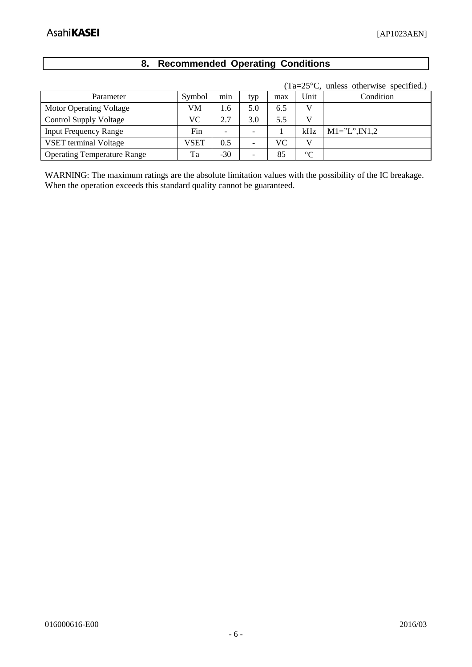# **8. Recommended Operating Conditions**

|                                    |        |                          |                          |     |                 | $1a-2J$ C, unless otherwise specified. |
|------------------------------------|--------|--------------------------|--------------------------|-----|-----------------|----------------------------------------|
| Parameter                          | Symbol | min                      | typ                      | max | Unit            | Condition                              |
| Motor Operating Voltage            | VM     | 1.6                      | 5.0                      | 6.5 | V               |                                        |
| <b>Control Supply Voltage</b>      | VC     | 2.7                      | 3.0                      | 5.5 | V               |                                        |
| <b>Input Frequency Range</b>       | Fin    | $\overline{\phantom{0}}$ |                          |     | kHz             | $M1 = "L", IN1,2$                      |
| <b>VSET</b> terminal Voltage       | VSET   | 0.5                      |                          | VС  | $\mathbf{V}$    |                                        |
| <b>Operating Temperature Range</b> | Ta     | -30                      | $\overline{\phantom{0}}$ | 85  | $\rm ^{\circ}C$ |                                        |

 $(Ta=25\degree C)$  unless otherwise specified.)

WARNING: The maximum ratings are the absolute limitation values with the possibility of the IC breakage. When the operation exceeds this standard quality cannot be guaranteed.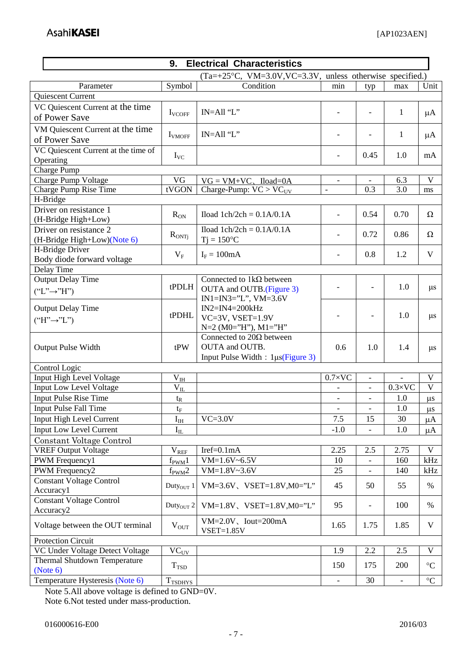<span id="page-6-0"></span>

| <b>Electrical Characteristics</b><br>9.       |                          |                                                           |                          |                          |                          |                 |  |  |
|-----------------------------------------------|--------------------------|-----------------------------------------------------------|--------------------------|--------------------------|--------------------------|-----------------|--|--|
|                                               |                          | (Ta=+25°C, VM=3.0V, VC=3.3V, unless otherwise specified.) |                          |                          |                          |                 |  |  |
| Parameter                                     | Symbol                   | Condition                                                 | min                      | typ                      | max                      | Unit            |  |  |
| Quiescent Current                             |                          |                                                           |                          |                          |                          |                 |  |  |
| VC Quiescent Current at the time              |                          | $IN=All$ "L"                                              |                          |                          | $\mathbf{1}$             |                 |  |  |
| of Power Save                                 | <b>I</b> VCOFF           |                                                           | $\overline{\phantom{a}}$ | $\overline{\phantom{0}}$ |                          | $\mu A$         |  |  |
| VM Quiescent Current at the time              |                          |                                                           |                          |                          |                          |                 |  |  |
| of Power Save                                 | <b>I</b> VMOFF           | IN=All "L"                                                |                          |                          | $\mathbf{1}$             | $\mu A$         |  |  |
| VC Quiescent Current at the time of           |                          |                                                           |                          |                          |                          |                 |  |  |
| Operating                                     | $\mathbf{I}_{\text{VC}}$ |                                                           | $\overline{\phantom{a}}$ | 0.45                     | 1.0                      | mA              |  |  |
| <b>Charge Pump</b>                            |                          |                                                           |                          |                          |                          |                 |  |  |
| <b>Charge Pump Voltage</b>                    | VG                       | $VG = VM+VC$ , Iload=0A                                   | $\overline{\phantom{a}}$ | $\overline{\phantom{a}}$ | 6.3                      | V               |  |  |
| Charge Pump Rise Time                         | tVGON                    | Charge-Pump: $VC > VC_{UV}$                               | $\overline{a}$           | 0.3                      | 3.0                      | ms              |  |  |
| H-Bridge                                      |                          |                                                           |                          |                          |                          |                 |  |  |
| Driver on resistance 1                        | $R_{ON}$                 | Iload $1ch/2ch = 0.1A/0.1A$                               | $\overline{\phantom{a}}$ | 0.54                     | 0.70                     | Ω               |  |  |
| (H-Bridge High+Low)                           |                          |                                                           |                          |                          |                          |                 |  |  |
| Driver on resistance 2                        | $R_{ONTj}$               | Iload $1ch/2ch = 0.1A/0.1A$                               |                          | 0.72                     | 0.86                     | Ω               |  |  |
| (H-Bridge High+Low)(Note 6)                   |                          | $Tj = 150$ °C                                             |                          |                          |                          |                 |  |  |
| H-Bridge Driver<br>Body diode forward voltage | $V_{\rm F}$              | $I_F = 100mA$                                             | $\overline{\phantom{0}}$ | 0.8                      | 1.2                      | $\mathbf V$     |  |  |
| Delay Time                                    |                          |                                                           |                          |                          |                          |                 |  |  |
| <b>Output Delay Time</b>                      |                          | Connected to $1k\Omega$ between                           |                          |                          |                          |                 |  |  |
|                                               | $t$ PDLH                 | OUTA and OUTB.(Figure 3)                                  |                          | $\overline{\phantom{a}}$ | 1.0                      | $\mu$ s         |  |  |
| $("L" \rightarrow "H")$                       |                          | $IN1=IN3="L", VM=3.6V$                                    |                          |                          |                          |                 |  |  |
| <b>Output Delay Time</b>                      |                          | $IN2=IN4=200kHz$                                          |                          |                          |                          |                 |  |  |
| $("H" \rightarrow "L")$                       | tPDHL                    | $VC=3V$ , $VSET=1.9V$                                     |                          | $\overline{\phantom{a}}$ | 1.0                      | $\mu$ s         |  |  |
|                                               |                          | N=2 (M0="H"), M1="H"                                      |                          |                          |                          |                 |  |  |
|                                               |                          | Connected to $20\Omega$ between                           |                          |                          |                          |                 |  |  |
| <b>Output Pulse Width</b>                     | tPW                      | OUTA and OUTB.                                            | 0.6                      | 1.0                      | 1.4                      | $\mu$ s         |  |  |
|                                               |                          | Input Pulse Width: 1µs(Figure 3)                          |                          |                          |                          |                 |  |  |
| Control Logic                                 |                          |                                                           |                          |                          |                          |                 |  |  |
| <b>Input High Level Voltage</b>               | $\rm V_{IH}$             |                                                           | $0.7 \times$ VC          | $\overline{\phantom{a}}$ |                          | V               |  |  |
| <b>Input Low Level Voltage</b>                | $\rm V_{II}$             |                                                           |                          | $\overline{\phantom{0}}$ | $0.3\times$ VC           | V               |  |  |
| <b>Input Pulse Rise Time</b>                  | $t_{R}$                  |                                                           | $\overline{\phantom{a}}$ | $\blacksquare$           | 1.0                      | $\mu s$         |  |  |
| <b>Input Pulse Fall Time</b>                  | $t_F$                    |                                                           | $\blacksquare$           | $\overline{a}$           | 1.0                      | $\mu s$         |  |  |
| Input High Level Current                      | $I_{IH}$                 | $VC=3.0V$                                                 | 7.5                      | 15                       | 30                       | $\mu A$         |  |  |
| <b>Input Low Level Current</b>                | $I_{IL}$                 |                                                           | $-1.0$                   |                          | 1.0                      | $\mu A$         |  |  |
| Constant Voltage Control                      |                          |                                                           |                          |                          |                          |                 |  |  |
| <b>VREF Output Voltage</b>                    | $V_{REF}$                | $Iref=0.1mA$                                              | 2.25                     | 2.5                      | 2.75                     | V               |  |  |
| PWM Frequency1                                | $f_{\text{PWM}}$ 1       | $VM=1.6V-6.5V$                                            | 10                       |                          | 160                      | kHz             |  |  |
| PWM Frequency2                                | $f_{\text{PWM}}$ 2       | $VM=1.8V-3.6V$                                            | 25                       |                          | 140                      | kHz             |  |  |
| <b>Constant Voltage Control</b>               | Duty $_{\text{OUT}}$ 1   | $VM=3.6V$ , $VSET=1.8V$ , $M0=$ "L"                       | 45                       | 50                       | 55                       | $\%$            |  |  |
| Accuracy1<br><b>Constant Voltage Control</b>  |                          |                                                           |                          |                          |                          |                 |  |  |
| Accuracy <sub>2</sub>                         | Duty <sub>OUT</sub> 2    | $VM=1.8V$ , $VSET=1.8V$ , $MO="L"$                        | 95                       | $\overline{\phantom{0}}$ | 100                      | $\%$            |  |  |
|                                               |                          | $VM=2.0V$ , $Iout=200mA$                                  |                          |                          |                          |                 |  |  |
| Voltage between the OUT terminal              | $V_{OUT}$                | $VSET = 1.85V$                                            | 1.65                     | 1.75                     | 1.85                     | V               |  |  |
| <b>Protection Circuit</b>                     |                          |                                                           |                          |                          |                          |                 |  |  |
| VC Under Voltage Detect Voltage               | $VC_{UV}$                |                                                           | 1.9                      | 2.2                      | 2.5                      | V               |  |  |
| <b>Thermal Shutdown Temperature</b>           |                          |                                                           |                          |                          |                          |                 |  |  |
| (Note 6)                                      | T <sub>TSD</sub>         |                                                           | 150                      | 175                      | 200                      | $\rm ^{\circ}C$ |  |  |
| Temperature Hysteresis (Note 6)               | $T_{TSDHYS}$             |                                                           | $\overline{\phantom{0}}$ | 30                       | $\overline{\phantom{m}}$ | $\rm ^{\circ}C$ |  |  |

<span id="page-6-1"></span>Note 5.All above voltage is defined to GND=0V. Note 6.Not tested under mass-production.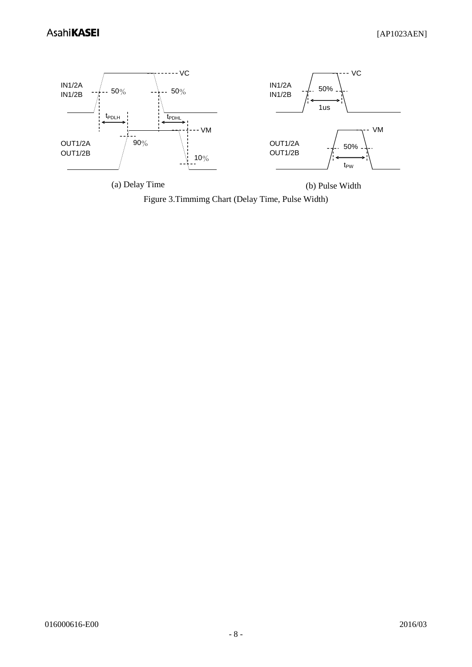

<span id="page-7-0"></span>(a) Delay Time (b) Pulse Width

Figure 3.Timmimg Chart (Delay Time, Pulse Width)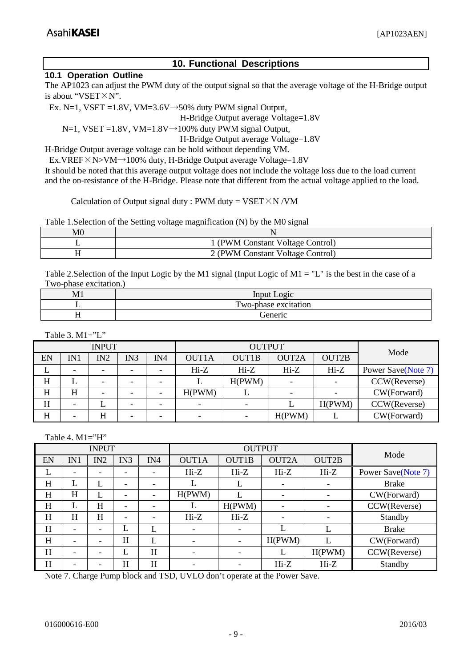# **10. Functional Descriptions**

#### <span id="page-8-1"></span><span id="page-8-0"></span>**10.1 Operation Outline**

The AP1023 can adjust the PWM duty of the output signal so that the average voltage of the H-Bridge output is about "VSET×N".

Ex. N=1, VSET =1.8V, VM=3.6V $\rightarrow$ 50% duty PWM signal Output,

H-Bridge Output average Voltage=1.8V

 $N=1$ , VSET = 1.8V, VM=1.8V $\rightarrow$ 100% duty PWM signal Output,

H-Bridge Output average Voltage=1.8V

H-Bridge Output average voltage can be hold without depending VM.

Ex.VREF $\times$ N $>$ VM $\rightarrow$ 100% duty, H-Bridge Output average Voltage=1.8V

It should be noted that this average output voltage does not include the voltage loss due to the load current and the on-resistance of the H-Bridge. Please note that different from the actual voltage applied to the load.

Calculation of Output signal duty : PWM duty =  $VSET \times N / VM$ 

Table 1.Selection of the Setting voltage magnification (N) by the M0 signal

| M0 |                                  |
|----|----------------------------------|
|    | (PWM Constant Voltage Control)   |
|    | 2 (PWM Constant Voltage Control) |

Table 2. Selection of the Input Logic by the M1 signal (Input Logic of  $M1 = "L"$  is the best in the case of a Two-phase excitation.)

| M1 | Input <sub>1</sub><br>.091C |
|----|-----------------------------|
|    | Two-phase excitation        |
|    | cieneric                    |

Table 3. M1="L"

| <b>INPUT</b> |     |                          |     |     |                          | <b>OUTPUT</b> | Mode                     |              |                    |
|--------------|-----|--------------------------|-----|-----|--------------------------|---------------|--------------------------|--------------|--------------------|
| EN           | IN1 | IN2                      | IN3 | IN4 | <b>OUT1A</b>             | <b>OUT1B</b>  | <b>OUT2A</b>             | <b>OUT2B</b> |                    |
|              |     |                          |     |     | $Hi-Z$                   | $Hi-Z$        | $Hi-Z$                   | $Hi-Z$       | Power Save(Note 7) |
| Η            | ட   | $\overline{\phantom{0}}$ |     |     |                          | H(PWM)        | $\overline{\phantom{a}}$ |              | CCW(Reverse)       |
| Н            | H   | $\overline{\phantom{0}}$ |     |     | H(PWM)                   |               | $\overline{\phantom{0}}$ |              | CW(Forward)        |
| H            |     |                          |     |     | $\overline{\phantom{a}}$ |               |                          | H(PWM)       | CCW(Reverse)       |
| Η            |     | Η                        |     |     | ۰                        |               | H(PWM)                   |              | CW(Forward)        |

Table 4. M1="H"

| <b>INPUT</b> |     |                          |                          |                          |                          | <b>OUTPUT</b> |              |                          |                    |
|--------------|-----|--------------------------|--------------------------|--------------------------|--------------------------|---------------|--------------|--------------------------|--------------------|
| EN           | IN1 | IN2                      | IN3                      | IN4                      | OUT1A                    | <b>OUT1B</b>  | <b>OUT2A</b> | OUT2B                    | Mode               |
| L            |     |                          | $\overline{\phantom{0}}$ |                          | $Hi-Z$                   | $Hi-Z$        | $Hi-Z$       | $Hi-Z$                   | Power Save(Note 7) |
| H            |     |                          | $\overline{\phantom{0}}$ |                          |                          |               |              | $\overline{\phantom{a}}$ | <b>Brake</b>       |
| H            | H   | L                        | $\overline{\phantom{0}}$ | $\overline{\phantom{0}}$ | H(PWM)                   |               |              | $\overline{\phantom{a}}$ | CW(Forward)        |
| H            | L   | H                        | $\overline{\phantom{a}}$ |                          | L                        | H(PWM)        |              | $\overline{\phantom{a}}$ | CCW(Reverse)       |
| H            | H   | H                        | $\overline{\phantom{0}}$ |                          | $Hi-Z$                   | $Hi-Z$        |              | $\overline{\phantom{a}}$ | Standby            |
| H            |     | $\overline{\phantom{0}}$ |                          |                          | $\overline{\phantom{0}}$ |               |              | L                        | <b>Brake</b>       |
| H            | -   | -                        | H                        |                          | $\overline{\phantom{0}}$ |               | H(PWM)       |                          | CW(Forward)        |
| H            |     | -                        |                          | H                        | $\overline{\phantom{a}}$ |               |              | H(PWM)                   | CCW(Reverse)       |
| H            |     |                          | Η                        | H                        |                          |               | $Hi-Z$       | $Hi-Z$                   | Standby            |

<span id="page-8-3"></span><span id="page-8-2"></span>Note 7. Charge Pump block and TSD, UVLO don't operate at the Power Save.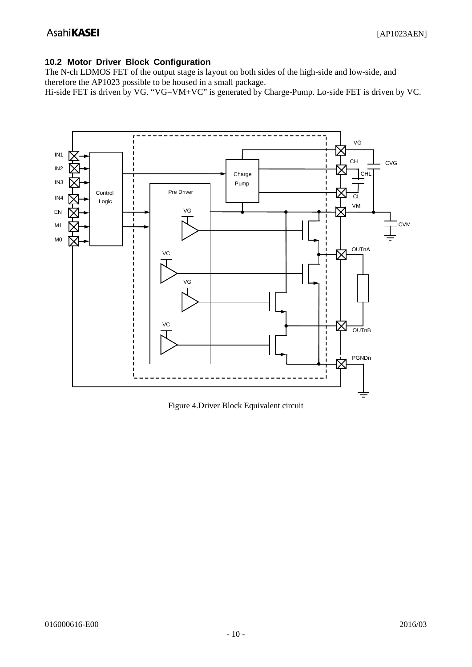# **10.2 Motor Driver Block Configuration**

The N-ch LDMOS FET of the output stage is layout on both sides of the high-side and low-side, and therefore the AP1023 possible to be housed in a small package.

Hi-side FET is driven by VG. "VG=VM+VC" is generated by Charge-Pump. Lo-side FET is driven by VC.



Figure 4.Driver Block Equivalent circuit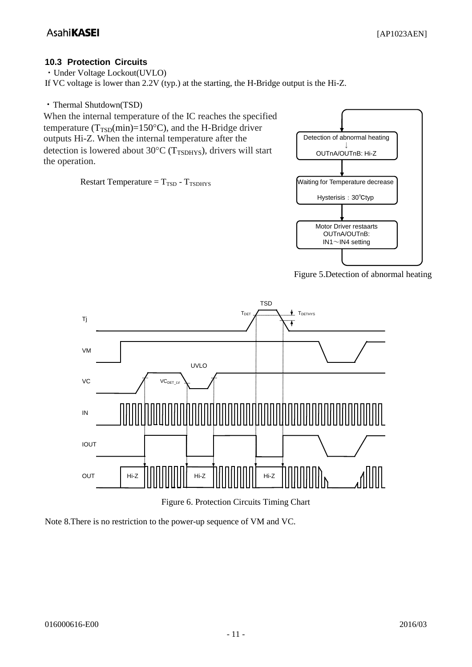# <span id="page-10-0"></span>**10.3 Protection Circuits**

・Under Voltage Lockout(UVLO) If VC voltage is lower than 2.2V (typ.) at the starting, the H-Bridge output is the Hi-Z.

・Thermal Shutdown(TSD)

When the internal temperature of the IC reaches the specified temperature ( $T_{\text{TSD}}(\text{min})=150^{\circ}\text{C}$ ), and the H-Bridge driver outputs Hi-Z. When the internal temperature after the detection is lowered about 30 $^{\circ}$ C (T<sub>TSDHYS</sub>), drivers will start the operation.

Restart Temperature  $= T_{TSD} - T_{TSDHYS}$ 







Figure 6. Protection Circuits Timing Chart

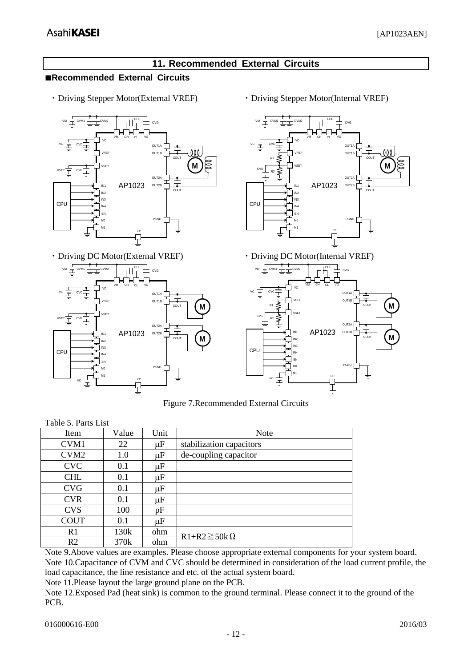# **11. Recommended External Circuits**

#### <span id="page-11-1"></span><span id="page-11-0"></span>**■Recommended External Circuits**

・Driving Stepper Motor(External VREF)



・Driving DC Motor(External VREF)



・Driving Stepper Motor(Internal VREF)



Figure 7.Recommended External Circuits

| Table 5. Parts List |       |         |                          |  |  |  |  |
|---------------------|-------|---------|--------------------------|--|--|--|--|
| Item                | Value | Unit    | <b>Note</b>              |  |  |  |  |
| CVM1                | 22    | $\mu$ F | stabilization capacitors |  |  |  |  |
| CVM <sub>2</sub>    | 1.0   | $\mu$ F | de-coupling capacitor    |  |  |  |  |
| <b>CVC</b>          | 0.1   | $\mu$ F |                          |  |  |  |  |
| <b>CHL</b>          | 0.1   | $\mu$ F |                          |  |  |  |  |
| <b>CVG</b>          | 0.1   | $\mu$ F |                          |  |  |  |  |
| <b>CVR</b>          | 0.1   | $\mu$ F |                          |  |  |  |  |
| <b>CVS</b>          | 100   | pF      |                          |  |  |  |  |
| <b>COUT</b>         | 0.1   | $\mu$ F |                          |  |  |  |  |
| R1                  | 130k  | ohm     | $R1 + R2 \ge 50k \Omega$ |  |  |  |  |
| R <sub>2</sub>      | 370k  | ohm     |                          |  |  |  |  |

Note 9.Above values are examples. Please choose appropriate external components for your system board. Note 10.Capacitance of CVM and CVC should be determined in consideration of the load current profile, the load capacitance, the line resistance and etc. of the actual system board.

Note 11.Please layout the large ground plane on the PCB.

Note 12.Exposed Pad (heat sink) is common to the ground terminal. Please connect it to the ground of the PCB.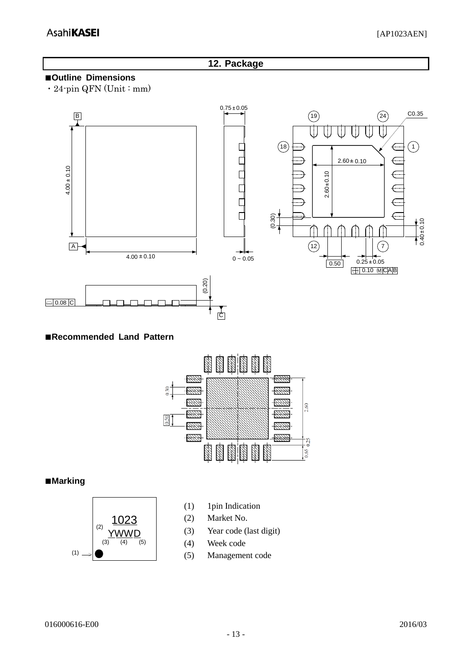## **12. Package**

# <span id="page-12-1"></span><span id="page-12-0"></span>**■Outline Dimensions**

・24-pin QFN (Unit : mm)



#### <span id="page-12-2"></span>**■Recommended Land Pattern**



#### <span id="page-12-3"></span>**■Marking**



- (1) 1pin Indication
- (2) Market No.
- (3) Year code (last digit)
- (4) Week code
-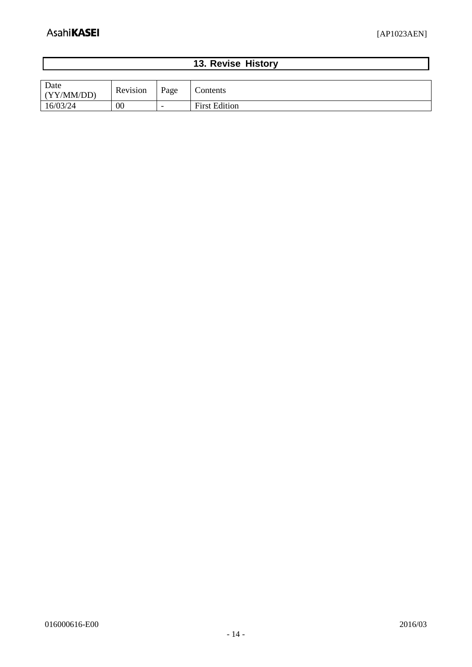$\overline{\phantom{a}}$ 

<span id="page-13-0"></span>

| 13. Revise History |  |  |  |  |  |  |
|--------------------|--|--|--|--|--|--|
|                    |  |  |  |  |  |  |
| $\sim$             |  |  |  |  |  |  |

| Date<br>(YY/MM/DD) | Revision | Page                     | Contents             |
|--------------------|----------|--------------------------|----------------------|
| 16/03/24           | 00       | $\overline{\phantom{0}}$ | <b>First Edition</b> |